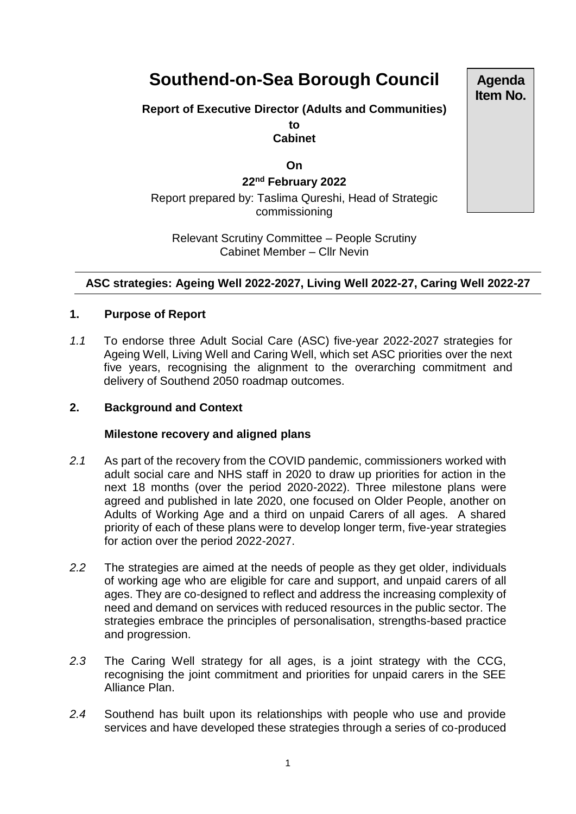# **Southend-on-Sea Borough Council**

## **Report of Executive Director (Adults and Communities) to Cabinet**

**On**

**22nd February 2022**

Report prepared by: Taslima Qureshi, Head of Strategic commissioning

Relevant Scrutiny Committee – People Scrutiny Cabinet Member – Cllr Nevin

# **ASC strategies: Ageing Well 2022-2027, Living Well 2022-27, Caring Well 2022-27**

## **1. Purpose of Report**

*1.1* To endorse three Adult Social Care (ASC) five-year 2022-2027 strategies for Ageing Well, Living Well and Caring Well, which set ASC priorities over the next five years, recognising the alignment to the overarching commitment and delivery of Southend 2050 roadmap outcomes.

#### **2. Background and Context**

#### **Milestone recovery and aligned plans**

- *2.1* As part of the recovery from the COVID pandemic, commissioners worked with adult social care and NHS staff in 2020 to draw up priorities for action in the next 18 months (over the period 2020-2022). Three [milestone plans](https://www.southend.gov.uk/keeping-adults-safe/adult-social-care-milestone-recovery-plans-2020-2022) were agreed and published in late 2020, one focused on Older People, another on Adults of Working Age and a third on unpaid Carers of all ages. A shared priority of each of these plans were to develop longer term, five-year strategies for action over the period 2022-2027.
- *2.2* The strategies are aimed at the needs of people as they get older, individuals of working age who are eligible for care and support, and unpaid carers of all ages. They are co-designed to reflect and address the increasing complexity of need and demand on services with reduced resources in the public sector. The strategies embrace the principles of personalisation, strengths-based practice and progression.
- *2.3* The Caring Well strategy for all ages, is a joint strategy with the CCG, recognising the joint commitment and priorities for unpaid carers in the SEE Alliance Plan.
- *2.4* Southend has built upon its relationships with people who use and provide services and have developed these strategies through a series of co-produced

**Agenda Item No.**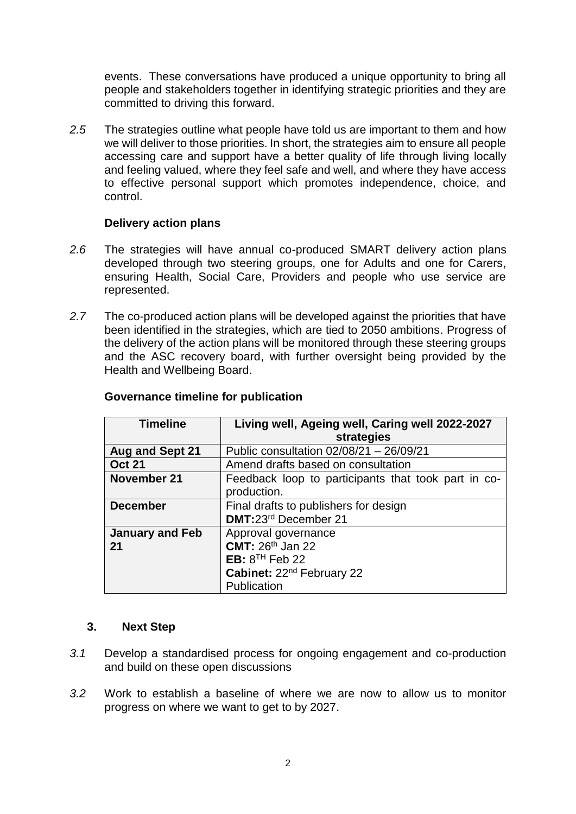events. These conversations have produced a unique opportunity to bring all people and stakeholders together in identifying strategic priorities and they are committed to driving this forward.

*2.5* The strategies outline what people have told us are important to them and how we will deliver to those priorities. In short, the strategies aim to ensure all people accessing care and support have a better quality of life through living locally and feeling valued, where they feel safe and well, and where they have access to effective personal support which promotes independence, choice, and control.

#### **Delivery action plans**

- *2.6* The strategies will have annual co-produced SMART delivery action plans developed through two steering groups, one for Adults and one for Carers, ensuring Health, Social Care, Providers and people who use service are represented.
- *2.7* The co-produced action plans will be developed against the priorities that have been identified in the strategies, which are tied to 2050 ambitions. Progress of the delivery of the action plans will be monitored through these steering groups and the ASC recovery board, with further oversight being provided by the Health and Wellbeing Board.

| <b>Timeline</b>        | Living well, Ageing well, Caring well 2022-2027     |  |  |  |  |
|------------------------|-----------------------------------------------------|--|--|--|--|
|                        | strategies                                          |  |  |  |  |
| <b>Aug and Sept 21</b> | Public consultation $02/08/21 - 26/09/21$           |  |  |  |  |
| <b>Oct 21</b>          | Amend drafts based on consultation                  |  |  |  |  |
| November 21            | Feedback loop to participants that took part in co- |  |  |  |  |
|                        | production.                                         |  |  |  |  |
| <b>December</b>        | Final drafts to publishers for design               |  |  |  |  |
|                        | DMT:23rd December 21                                |  |  |  |  |
| <b>January and Feb</b> | Approval governance                                 |  |  |  |  |
| 21                     | <b>CMT: 26th Jan 22</b>                             |  |  |  |  |
|                        | EB: $8TH$ Feb 22                                    |  |  |  |  |
|                        | Cabinet: 22 <sup>nd</sup> February 22               |  |  |  |  |
|                        | Publication                                         |  |  |  |  |

#### **Governance timeline for publication**

#### **3. Next Step**

- *3.1* Develop a standardised process for ongoing engagement and co-production and build on these open discussions
- *3.2* Work to establish a baseline of where we are now to allow us to monitor progress on where we want to get to by 2027.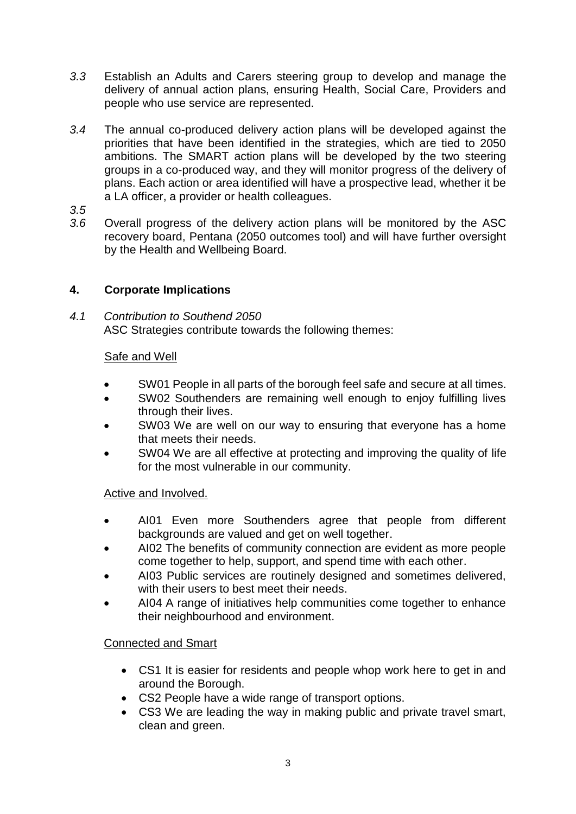- *3.3* Establish an Adults and Carers steering group to develop and manage the delivery of annual action plans, ensuring Health, Social Care, Providers and people who use service are represented.
- *3.4* The annual co-produced delivery action plans will be developed against the priorities that have been identified in the strategies, which are tied to 2050 ambitions. The SMART action plans will be developed by the two steering groups in a co-produced way, and they will monitor progress of the delivery of plans. Each action or area identified will have a prospective lead, whether it be a LA officer, a provider or health colleagues.
- *3.5*
- *3.6* Overall progress of the delivery action plans will be monitored by the ASC recovery board, Pentana (2050 outcomes tool) and will have further oversight by the Health and Wellbeing Board.

# **4. Corporate Implications**

*4.1 Contribution to Southend 2050*  ASC Strategies contribute towards the following themes:

# Safe and Well

- SW01 People in all parts of the borough feel safe and secure at all times.
- SW02 Southenders are remaining well enough to enjoy fulfilling lives through their lives.
- SW03 We are well on our way to ensuring that everyone has a home that meets their needs.
- SW04 We are all effective at protecting and improving the quality of life for the most vulnerable in our community.

# Active and Involved.

- AI01 Even more Southenders agree that people from different backgrounds are valued and get on well together.
- AI02 The benefits of community connection are evident as more people come together to help, support, and spend time with each other.
- AI03 Public services are routinely designed and sometimes delivered, with their users to best meet their needs.
- AI04 A range of initiatives help communities come together to enhance their neighbourhood and environment.

# Connected and Smart

- CS1 It is easier for residents and people whop work here to get in and around the Borough.
- CS2 People have a wide range of transport options.
- CS3 We are leading the way in making public and private travel smart, clean and green.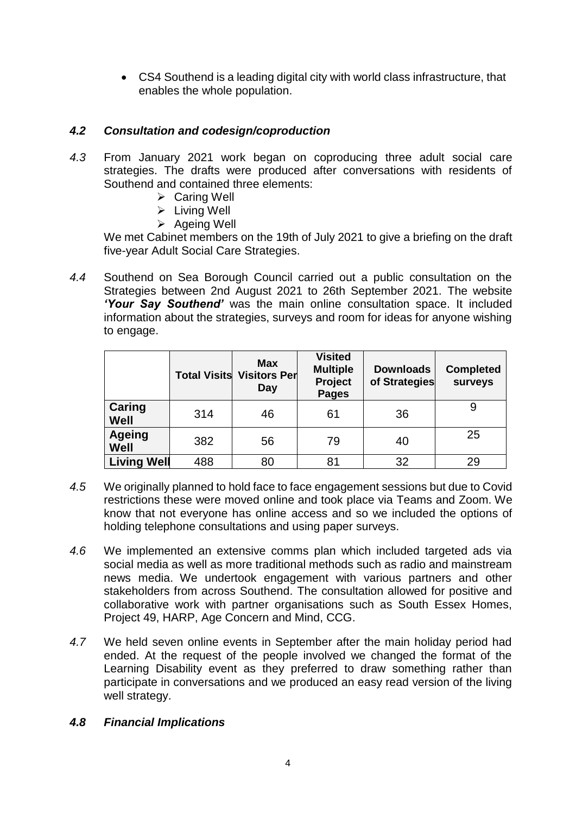CS4 Southend is a leading digital city with world class infrastructure, that enables the whole population.

# *4.2 Consultation and codesign/coproduction*

- *4.3* From January 2021 work began on coproducing three adult social care strategies. The drafts were produced after conversations with residents of Southend and contained three elements:
	- $\triangleright$  Caring Well
	- $\triangleright$  Living Well
	- $\triangleright$  Ageing Well

We met Cabinet members on the 19th of July 2021 to give a briefing on the draft five-year Adult Social Care Strategies.

*4.4* Southend on Sea Borough Council carried out a public consultation on the Strategies between 2nd August 2021 to 26th September 2021. The website *'Your Say Southend'* was the main online consultation space. It included information about the strategies, surveys and room for ideas for anyone wishing to engage.

|                       | <b>Total Visits</b> | <b>Max</b><br><b>Visitors Per</b><br>Day | <b>Visited</b><br><b>Multiple</b><br>Project<br><b>Pages</b> | <b>Downloads</b><br>of Strategies | <b>Completed</b><br>surveys |
|-----------------------|---------------------|------------------------------------------|--------------------------------------------------------------|-----------------------------------|-----------------------------|
| Caring<br>Well        | 314                 | 46                                       | 61                                                           | 36                                |                             |
| <b>Ageing</b><br>Well | 382                 | 56                                       | 79                                                           | 40                                | 25                          |
| <b>Living Well</b>    | 488                 | 80                                       | 81                                                           | 32                                | 29                          |

- *4.5* We originally planned to hold face to face engagement sessions but due to Covid restrictions these were moved online and took place via Teams and Zoom. We know that not everyone has online access and so we included the options of holding telephone consultations and using paper surveys.
- *4.6* We implemented an extensive comms plan which included targeted ads via social media as well as more traditional methods such as radio and mainstream news media. We undertook engagement with various partners and other stakeholders from across Southend. The consultation allowed for positive and collaborative work with partner organisations such as South Essex Homes, Project 49, HARP, Age Concern and Mind, CCG.
- *4.7* We held seven online events in September after the main holiday period had ended. At the request of the people involved we changed the format of the Learning Disability event as they preferred to draw something rather than participate in conversations and we produced an easy read version of the living well strategy.

# *4.8 Financial Implications*